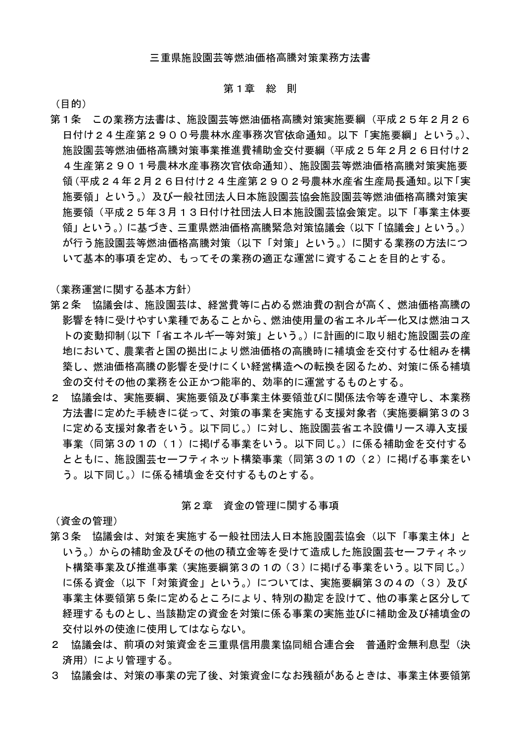# 第1章 総則

(目的)

第1条 この業務方法書は、施設園芸等燃油価格高騰対策実施要綱(平成25年2月26 日付け24生産第2900号農林水産事務次官依命通知。以下「実施要綱」という。)、 施設園芸等燃油価格高騰対策事業推進費補助金交付要綱(平成25年2月26日付け2 4生産第2901号農林水産事務次官依命通知)、施設園芸等燃油価格高騰対策実施要 領(平成24年2月26日付け24生産第2902号農林水産省生産局長通知。以下「実 施要領」という。)及び一般社団法人日本施設園芸協会施設園芸等燃油価格高騰対策実 施要領(平成25年3月13日付け社団法人日本施設園芸協会策定。以下「事業主体要 領」という。)に基づき、三重県燃油価格高騰緊急対策協議会(以下「協議会」という。) が行う施設園芸等燃油価格高騰対策(以下「対策」という。)に関する業務の方法につ いて基本的事項を定め、もってその業務の適正な運営に資することを目的とする。

(業務運営に関する基本方針)

- 第2条 協議会は、施設園芸は、経営費等に占める燃油費の割合が高く、燃油価格高騰の 影響を特に受けやすい業種であることから、燃油使用量の省エネルギー化又は燃油コス トの変動抑制(以下「省エネルギー等対策」という。)に計画的に取り組む施設園芸の産 地において、農業者と国の拠出により燃油価格の高騰時に補填金を交付する仕組みを構 築し、燃油価格高騰の影響を受けにくい経営構造への転換を図るため、対策に係る補填 金の交付その他の業務を公正かつ能率的、効率的に運営するものとする。
- 2 協議会は、実施要綱、実施要領及び事業主体要領並びに関係法令等を遵守し、本業務 方法書に定めた手続きに従って、対策の事業を実施する支援対象者(実施要綱第3の3 に定める支援対象者をいう。以下同じ。)に対し、施設園芸省エネ設備リース導入支援 事業(同第3の1の(1)に掲げる事業をいう。以下同じ。)に係る補助金を交付する とともに、施設園芸セーフティネット構築事業(同第3の1の (2) に掲げる事業をい う。以下同じ。)に係る補填金を交付するものとする。

## 第2章 資金の管理に関する事項

(資金の管理)

- 第3条 協議会は、対策を実施する一般社団法人日本施設園芸協会(以下「事業主体」と いう。)からの補助金及びその他の積立金等を受けて造成した施設園芸セーフティネッ ト構築事業及び推進事業(実施要綱第3の1の(3)に掲げる事業をいう。以下同じ。) に係る資金(以下「対策資金」という。)については、実施要綱第3の4の(3)及び 事業主体要領第5条に定めるところにより、特別の勘定を設けて、他の事業と区分して 経理するものとし、当該勘定の資金を対策に係る事業の実施並びに補助金及び補填金の 交付以外の使途に使用してはならない。
- 2 協議会は、前項の対策資金を三重県信用農業協同組合連合会 普通貯金無利息型(決 済用)により管理する。
- 3 協議会は、対策の事業の完了後、対策資金になお残額があるときは、事業主体要領第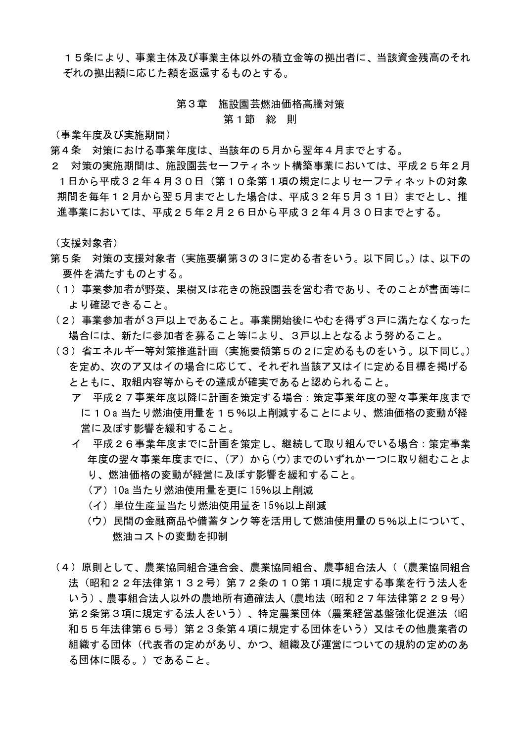15条により、事業主体及び事業主体以外の積立金等の拠出者に、当該資金残高のそれ ぞれの拠出額に応じた額を返還するものとする。

## 第3章 施設園芸燃油価格高騰対策

#### 第 1 節 総 則

(事業年度及び実施期間)

- 第4条 対策における事業年度は、当該年の5月から翌年4月までとする。
- 2 対策の実施期間は、施設園芸セーフティネット構築事業においては、平成25年2月 1日から平成32年4月30日 (第10条第1項の規定によりセーフティネットの対象 期間を毎年12月から翌5月までとした場合は、平成32年5月31日)までとし、推 進事業においては、平成25年2月26日から平成32年4月30日までとする。

(支援対象者)

- 第5条 対策の支援対象者 (実施要綱第3の3に定める者をいう。以下同じ。) は、以下の 要件を満たすものとする。
	- (1) 事業参加者が野菜、果樹又は花きの施設園芸を営む者であり、そのことが書面等に より確認できること。
- (2) 事業参加者が3戸以上であること。事業開始後にやむを得ず3戸に満たなくなった 場合には、新たに参加者を募ること等により、3戸以上となるよう努めること。
- (3)省エネルギー等対策推進計画(実施要領第5の2に定めるものをいう。以下同じ。) を定め、次のア又はイの場合に応じて、それぞれ当該ア又はイに定める目標を掲げる とともに、取組内容等からその達成が確実であると認められること。
	- ア 平成27事業年度以降に計画を策定する場合:策定事業年度の翌々事業年度まで に10a当たり燃油使用量を15%以上削減することにより、燃油価格の変動が経 営に及ぼす影響を緩和すること。
	- イ 平成26事業年度までに計画を策定し、継続して取り組んでいる場合: 策定事業 年度の翌々事業年度までに、(ア)から(ウ)までのいずれか一つに取り組むことよ り、燃油価格の変動が経営に及ぼす影響を緩和すること。
		- (ア) 10a 当たり燃油使用量を更に 15%以上削減
		- (イ) 単位生産量当たり燃油使用量を15%以上削減
		- (ウ) 民間の金融商品や備蓄タンク等を活用して燃油使用量の5%以上について、 燃油コストの変動を抑制
- (4) 原則として、農業協同組合連合会、農業協同組合、農事組合法人((農業協同組合 法(昭和22年法律第132号)第72条の10第1項に規定する事業を行う法人を いう)、農事組合法人以外の農地所有適確法人 (農地法 (昭和27年法律第229号) 第2条第3項に規定する法人をいう)、特定農業団体(農業経営基盤強化促進法(昭 和55年法律第65号)第23条第4項に規定する団体をいう)又はその他農業者の 組織する団体(代表者の定めがあり、かつ、組織及び運営についての規約の定めのあ る団体に限る。)であること。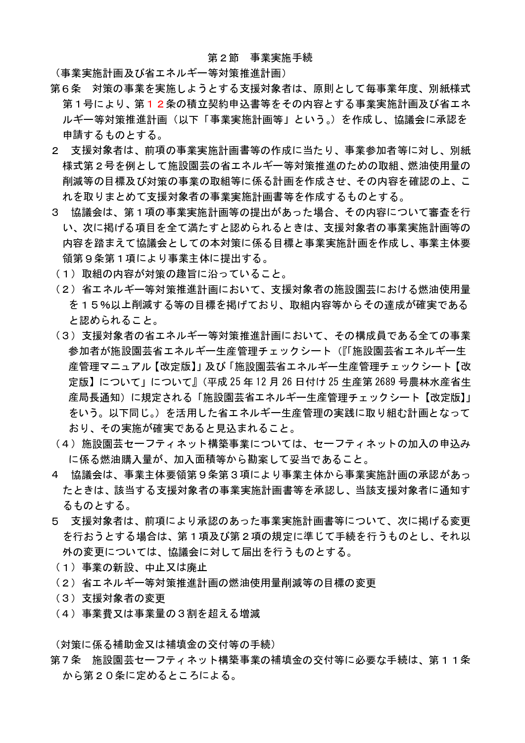## 第2節 事業実施手続

(事業実施計画及び省エネルギー等対策推進計画)

- 第6条 対策の事業を実施しようとする支援対象者は、原則として毎事業年度、別紙様式 第1号により、第12条の積立契約申込書等をその内容とする事業実施計画及び省エネ ルギー等対策推進計画(以下「事業実施計画等」という。)を作成し、協議会に承認を 申請するものとする。
- 2 支援対象者は、前項の事業実施計画書等の作成に当たり、事業参加者等に対し、別紙 様式第2号を例として施設園芸の省エネルギー等対策推進のための取組、燃油使用量の 削減等の目標及び対策の事業の取組等に係る計画を作成させ、その内容を確認の上、こ れを取りまとめて支援対象者の事業実施計画書等を作成するものとする。
- 3 協議会は、第1項の事業実施計画等の提出があった場合、その内容について審査を行 い、次に掲げる項目を全て満たすと認められるときは、支援対象者の事業実施計画等の 内容を踏まえて協議会としての本対策に係る目標と事業実施計画を作成し、事業主体要 領第9条第1項により事業主体に提出する。
- (1) 取組の内容が対策の趣旨に沿っていること。
- (2) 省エネルギー等対策推進計画において、支援対象者の施設園芸における燃油使用量 を15%以上削減する等の目標を掲げており、取組内容等からその達成が確実である と認められること。
- (3) 支援対象者の省エネルギー等対策推進計画において、その構成員である全ての事業 参加者が施設園芸省エネルギー生産管理チェックシート(『「施設園芸省エネルギー生 産管理マニュアル【改定版】」及び「施設園芸省エネルギー生産管理チェックシート【改 定版】について」について』(平成 25年12月26日付け 25生産第2689号農林水産省生 産局長通知)に規定される「施設園芸省エネルギー生産管理チェックシート【改定版】」 をいう。以下同じ。)を活用した省エネルギー生産管理の実践に取り組む計画となって おり、その実施が確実であると見込まれること。
- (4) 施設園芸セーフティネット構築事業については、セーフティネットの加入の申込み に係る燃油購入量が、加入面積等から勘案して妥当であること。
- 4 協議会は、事業主体要領第9条第3項により事業主体から事業実施計画の承認があっ たときは、該当する支援対象者の事業実施計画書等を承認し、当該支援対象者に通知す るものとする。
- 5 支援対象者は、前項により承認のあった事業実施計画書等について、次に掲げる変更 を行おうとする場合は、第1項及び第2項の規定に準じて手続を行うものとし、それ以 外の変更については、協議会に対して届出を行うものとする。
- (1) 事業の新設、中止又は廃止
- (2) 省エネルギー等対策推進計画の燃油使用暈削減等の目標の変更
- (3) 支援対象者の変更
- (4) 事業費又は事業量の3割を超える増減

(対策に係る補助金又は補填金の交付等の手続)

第7条 施設園芸セーフティネット構築事業の補填金の交付等に必要な手続は、第11条 から第20条に定めるところによる。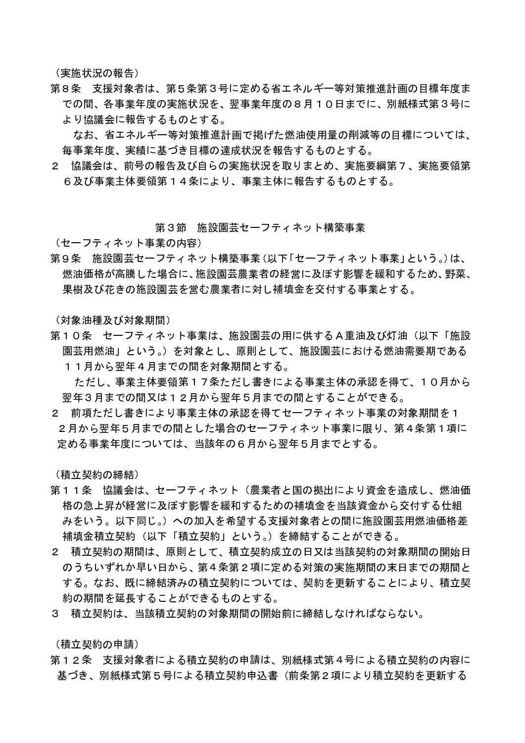(実施状況の報告)

第8条 支援対象者は、第5条第3号に定める省エネルギー等対策推進計画の目標年度ま での間、各事業年度の実施状況を、翌事業年度の8月10日までに、別紙様式第3号に より協議会に報告するものとする。

なお、省エネルギー等対策推進計画で掲げた燃油使用量の削減等の目標については、 毎事業年度、実績に基づき目標の達成状況を報告するものとする。

2 協議会は、前号の報告及び自らの実施状況を取りまとめ、実施要綱第7、実施要領第 6及び事業主体要領第14条により、事業主体に報告するものとする。

## 第3節 施設園芸セーフティネット構築事業

(セーフティネット事業の内容)

第9条 施設園芸セーフティネット構築事業(以下「セーフティネット事業」という。)は、 燃油価格が高騰した場合に、施設園芸農業者の経営に及ぼす影響を緩和するため、野菜、 果樹及び花きの施設園芸を営む農業者に対し補填金を交付する事業とする。

(対象油種及び対象期間)

第10条 セーフティネット事業は、施設園芸の用に供するA重油及び灯油(以下「施設 園芸用燃油」という。)を対象とし、原則として、施設園芸における燃油需要期である 11月から翌年4月までの間を対象期間とする。

ただし、事業主体要領第17条ただし書きによる事業主体の承認を得て、10月から 翌年3月までの間又は12月から翌年5月までの間とすることができる。

2 前項ただし書きにより事業主体の承認を得てセーフティネット事業の対象期間を1 2月から翌年5月までの間とした場合のセーフティネット事業に限り、第4条第1項に 定める事業年度については、当該年の6月から翌年5月までとする。

(積立契約の締結)

- 第11条 協議会は、セーフティネット(農業者と国の拠出により資金を造成し、燃油価 格の急上昇が経営に及ぼす影響を緩和するための補填金を当該資金から交付する仕組 みをいう。以下同じ。)への加入を希望する支援対象者との間に施設園芸用燃油価格差 補填金積立契約(以下「積立契約」という。)を締結することができる。
- 2 積立契約の期間は、原則として、積立契約成立の日又は当該契約の対象期間の開始日 のうちいずれか早い日から、第4条第2項に定める対策の実施期間の末日までの期間と する。なお、既に締結済みの積立契約については、契約を更新することにより、積立契 約の期間を延長することができるものとする。
- 3 積立契約は、当該積立契約の対象期間の開始前に締結しなければならない。

(積立契約の申請)

第12条 支援対象者による積立契約の申請は、別紙様式第4号による積立契約の内容に 基づき、別紙様式第5号による積立契約申込書(前条第2項により積立契約を更新する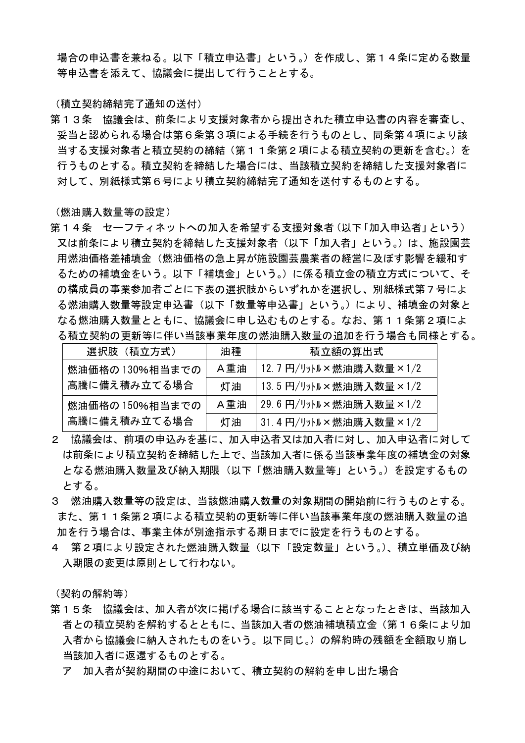場合の申込書を兼ねる。以下「積立申込書」という。)を作成し、第14条に定める数量 等申込書を添えて、協議会に提出して行うこととする。

(積立契約締結完了通知の送付)

第13条 協議会は、前条により支援対象者から提出された積立申込書の内容を審査し、 妥当と認められる場合は第6条第3項による手続を行うものとし、同条第4項により該 当する支援対象者と積立契約の締結(第11条第2項による積立契約の更新を含む。)を 行うものとする。積立契約を締結した場合には、当該積立契約を締結した支援対象者に 対して、別紙様式第6号により積立契約締結完了通知を送付するものとする。

(燃油購入数量等の設定)

第14条 セーフティネットへの加入を希望する支援対象者 (以下 「加入申込者」という) 又は前条により積立契約を締結した支援対象者(以下「加入者」という。)は、施設園芸 用燃油価格差補填金(燃油価格の急上昇が施設園芸農業者の経営に及ぼす影響を緩和す るための補填金をいう。以下「補填金」という。)に係る積立金の積立方式について、そ の構成員の事業参加者ごとに下表の選択肢からいずれかを選択し、別紙様式第7号によ る燃油購入数量等設定申込書(以下「数量等申込書」という。)により、補填金の対象と なる燃油購入数量とともに、協議会に申し込むものとする。なお、第11条第2項によ る積立契約の更新等に伴い当該事業年度の燃油購入数量の追加を行う場合も同様とする。

| 選択肢 (積立方式)      | 油種  | 積立額の算出式                |
|-----------------|-----|------------------------|
| 燃油価格の 130%相当までの | A重油 | 12.7円/リットル×燃油購入数量×1/2  |
| 高騰に備え積み立てる場合    | 灯油  | 13.5 円/リットル×燃油購入数量×1/2 |
| 燃油価格の 150%相当までの | A重油 | 29.6円/リットル×燃油購入数量×1/2  |
| 高騰に備え積み立てる場合    | 灯油  | 31.4円/リットル×燃油購入数量×1/2  |

- 2 協議会は、前項の申込みを基に、加入申込者又は加入者に対し、加入申込者に対して は前条により積立契約を締結した上で、当該加入者に係る当該事業年度の補填金の対象 となる燃油購入数量及び納入期限(以下「燃油購入数量等」という。)を設定するもの とする。
- 3 燃油購入数量等の設定は、当該燃油購入数量の対象期間の開始前に行うものとする。 また、第11条第2項による積立契約の更新等に伴い当該事業年度の燃油購入数量の追 加を行う場合は、事業主体が別途指示する期日までに設定を行うものとする。
- 4 第2項により設定された燃油購入数量(以下「設定数量」という。)、積立単価及び納 入期限の変更は原則として行わない。

(契約の解約等)

- 第15条 協議会は、加入者が次に掲げる場合に該当することとなったときは、当該加入 者との積立契約を解約するとともに、当該加入者の燃油補填積立金(第16条により加 入者から協議会に納入されたものをいう。以下同じ。)の解約時の残額を全額取り崩し 当該加入者に返還するものとする。
	- ア 加入者が契約期間の中途において、積立契約の解約を申し出た場合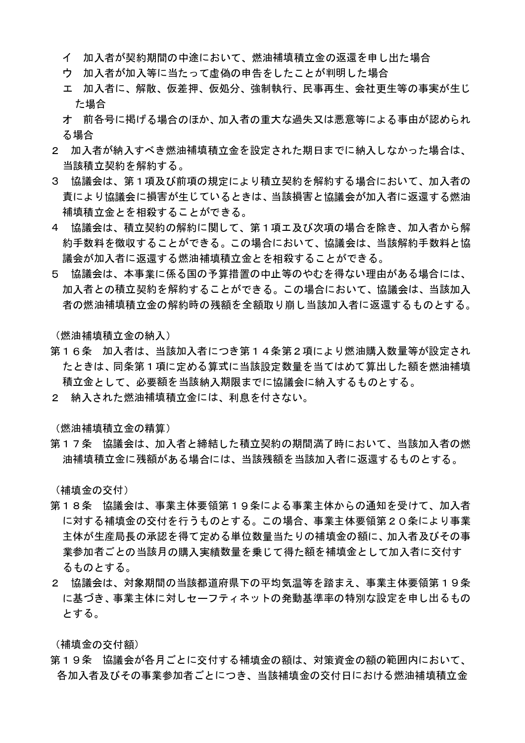- イ 加入者が契約期間の中途において、燃油補填積立金の返還を申し出た場合
- ウ 加入者が加入等に当たって虚偽の申告をしたことが判明した場合
- エ 加入者に、解散、仮差押、仮処分、強制執行、民事再生、会社更生等の事実が生じ た場合
- |才 前各号に掲げる場合のほか、加入者の重大な過失又は悪意等による事由が認められ る場合
- 2.加入者が納入すべき燃油補填積立金を設定された期日までに納入しなかった場合は、 当該積立契約を解約する。
- 3 協議会は、第1項及び前項の規定により積立契約を解約する場合において、加入者の 責により協議会に損害が生じているときは、当該損害と協議会が加入者に返還する燃油 補填積立金とを相殺することができる。
- 4 協議会は、積立契約の解約に関して、第1項エ及び次項の場合を除き、加入者から解 約手数料を徴収することができる。この場合において、協議会は、当該解約手数料と協 議会が加入者に返還する燃油補填積立金とを相殺することができる。
- 5 協議会は、本事業に係る国の予算措置の中止等のやむを得ない理由がある場合には、 加入者との積立契約を解約することができる。この場合において、協議会は、当該加入 者の燃油補填積立金の解約時の残額を全額取り崩し当該加入者に返還するものとする。

(燃油補填積立金の納入)

- 第16条 加入者は、当該加入者につき第14条第2項により燃油購入数量等が設定され たときは、同条第1項に定める算式に当該設定数量を当てはめて算出した額を燃油補填 積立金として、必要額を当該納入期限までに協議会に納入するものとする。
- 2 納入された燃油補填積立金には、利息を付さない。

(燃油補填積立金の精算)

第17条 協議会は、加入者と締結した積立契約の期間満了時において、当該加入者の燃 油補填積立金に残額がある場合には、当該残額を当該加入者に返還するものとする。

(補填金の交付)

- 第18条 協議会は、事業主体要領第19条による事業主体からの通知を受けて、加入者 に対する補填金の交付を行うものとする。この場合、事業主体要領第20条により事業 主体が生産局長の承認を得て定める単位数量当たりの補填金の額に、加入者及びその事 業参加者ごとの当該月の購入実績数量を乗じて得た額を補填金として加入者に交付す るものとする。
- 2 協議会は、対象期間の当該都道府県下の平均気温等を踏まえ、事業主体要領第19条 に基づき、事業主体に対しセーフティネットの発動基準率の特別な設定を申し出るもの とする。

(補填金の交付額)

第19条 協議会が各月ごとに交付する補填金の額は、対策資金の額の範囲内において、 各加入者及びその事業参加者ごとにつき、当該補填金の交付日における燃油補填積立金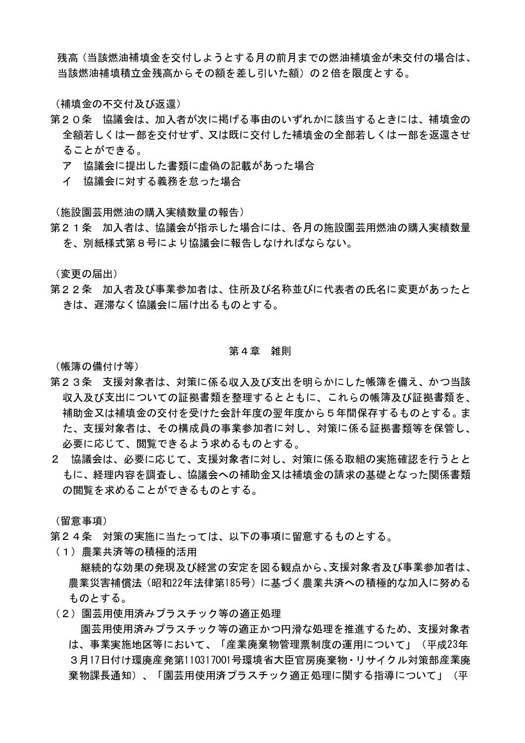残高(当該燃油補填金を交付しようとする月の前月までの燃油補填金が未交付の場合は、 当該燃油補填積立金残高からその額を差し引いた額)の2倍を限度とする。

(補填金の不交付及び返還)

- 第20条 協議会は、加入者が次に掲げる事由のいずれかに該当するときには、補填金の 全額若しくは一部を交付せず、又は既に交付した補填金の全部若しくは一部を返還させ ることができる。
	- アー協議会に提出した書類に虚偽の記載があった場合
	- イ 協議会に対する義務を怠った場合

(施設園芸用燃油の購入実績数量の報告)

第21条 加入者は、協議会が指示した場合には、各月の施設園芸用燃油の購入実績数量 を、別紙様式第8号により協議会に報告しなければならない。

(変更の届出)

第22条 加入者及び事業参加者は、住所及び名称並びに代表者の氏名に変更があったと きは、遅滞なく協議会に届け出るものとする。

## 第4章 雑則

(帳簿の備付け等)

- 第23条 支援対象者は、対策に係る収入及び支出を明らかにした帳簿を備え、かつ当該 収入及び支出についての証拠書類を整理するとともに、これらの帳簿及び証拠書類を、 補助金又は補填金の交付を受けた会計年度の翌年度から5年間保存するものとする。ま た、支援対象者は、その構成員の事業参加者に対し、対策に係る証拠書類等を保管し、 必要に応じて、閲覧できるよう求めるものとする。
- 2 協議会は、必要に応じて、支援対象者に対し、対策に係る取組の実施確認を行うとと もに、経理内容を調査し、協議会への補助金又は補填金の請求の基礎となった関係書類 の閲覧を求めることができるものとする。

(留意事項)

- 第24条 対策の実施に当たっては、以下の事項に留意するものとする。
- (1) 農業共済等の積極的活用

継続的な効果の発現及び経営の安定を図る観点から、支援対象者及び事業参加者は、 農業災害補償法 (昭和22年法律第185号) に基づく農業共済への積極的な加入に努める ものとする。

(2) 園芸用使用済みプラスチック等の適正処理

園芸用使用済みプラスチック等の適正かつ円滑な処理を推進するため、支援対象者 は、事業実施地区等において、「産業廃棄物管理票制度の運用について」(平成23年 3月17日付け環廃産発第110317001号環境省大臣官房廃棄物・リサイクル対策部産業廃 棄物課長通知)、「園芸用使用済プラスチック適正処理に関する指導について」(平